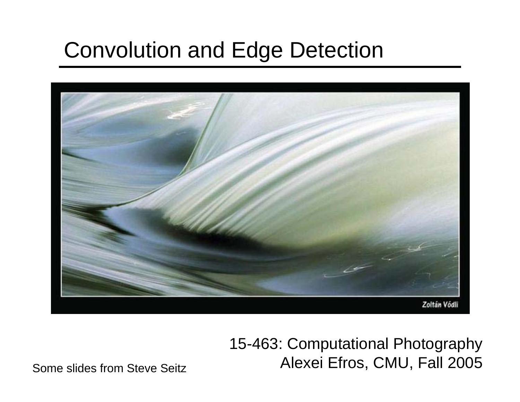# Convolution and Edge Detection



15-463: Computational Photography Alexei Efros, CMU, Fall 2005

Some slides from Steve Seitz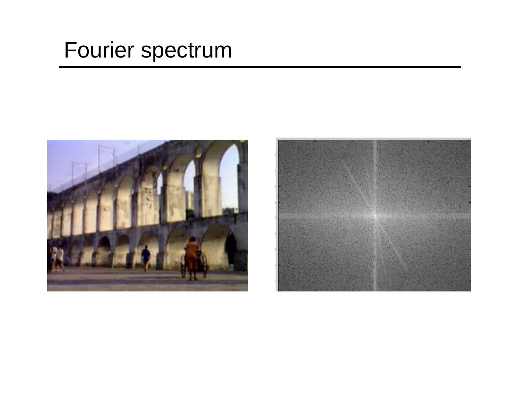# Fourier spectrum



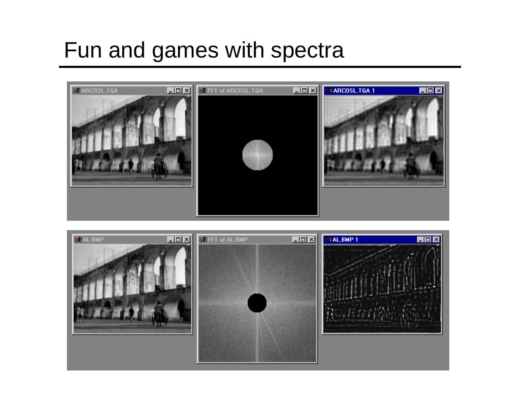# Fun and games with spectra



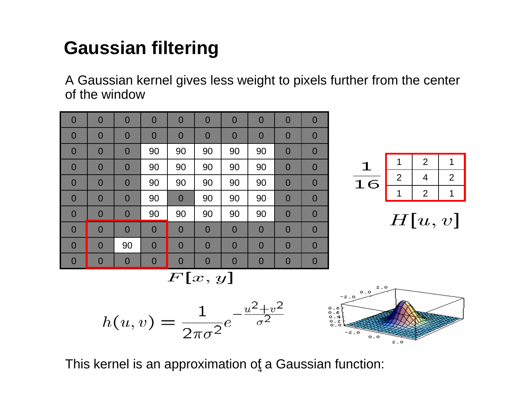### **Gaussian filtering**

A Gaussian kernel gives less weight to pixels further from the center of the window



|        |   | 2              |   |
|--------|---|----------------|---|
| 6<br>⊥ | 2 |                | 2 |
|        |   | $\overline{2}$ |   |

 $H[u, v]$ 

 $F[x, y]$ 





This kernel is an approximation of  $\boldsymbol{\mathsf{a}}$  Gaussian function: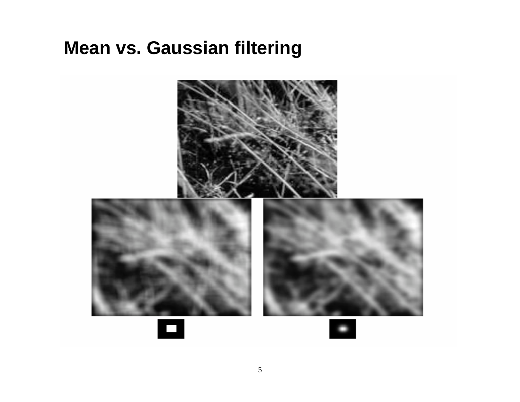### **Mean vs. Gaussian filtering**

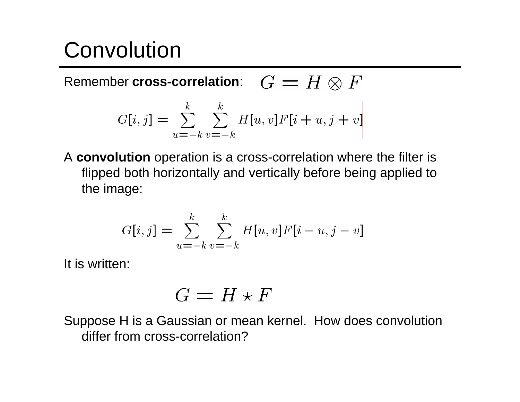# Convolution

Remember **cross-correlation**:  $G = H \otimes F$ 

$$
G[i, j] = \sum_{u = -k}^{k} \sum_{v = -k}^{k} H[u, v] F[i + u, j + v]
$$

A **convolution** operation is a cross-correlation where the filter is flipped both horizontally and vertically before being applied to the image:

$$
G[i,j] = \sum_{u=-k}^{k} \sum_{v=-k}^{k} H[u,v]F[i-u,j-v]
$$

It is written:

$$
G = H \star F
$$

Suppose H is a Gaussian or mean kernel. How does convolution differ from cross-correlation?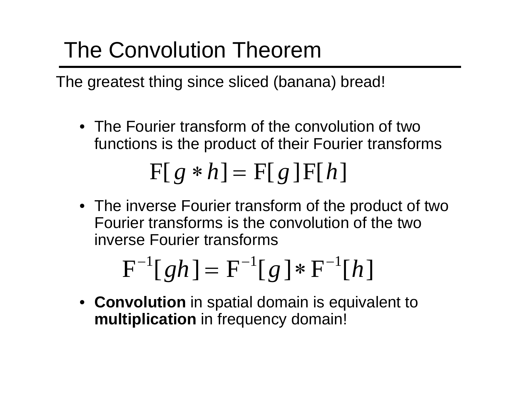# The Convolution Theorem

The greatest thing since sliced (banana) bread!

• The Fourier transform of the convolution of two functions is the product of their Fourier transforms

$$
F[g * h] = F[g]F[h]
$$

• The inverse Fourier transform of the product of two Fourier transforms is the convolution of the two inverse Fourier transforms

$$
F^{-1}[gh] = F^{-1}[g] * F^{-1}[h]
$$

• **Convolution** in spatial domain is equivalent to **multiplication** in frequency domain!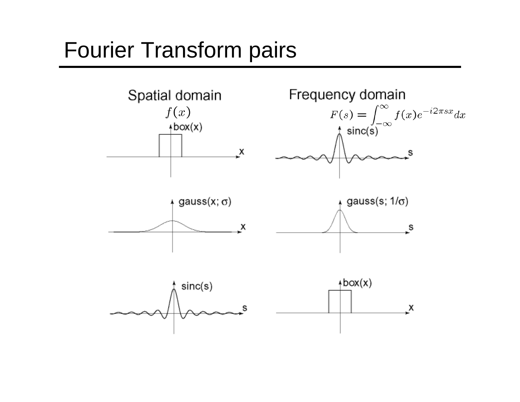## Fourier Transform pairs

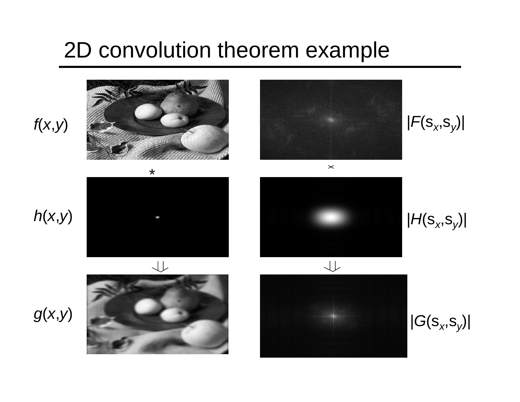## 2D convolution theorem example







 $\mathbf{\times}$ 

*|F*(s *<sup>x</sup>*,s *y*)|



*g* ( *<sup>x</sup>*,*y*)





*|H*(s *<sup>x</sup>*,s *y*)|





*|G*(s *<sup>x</sup>*,s *y*)|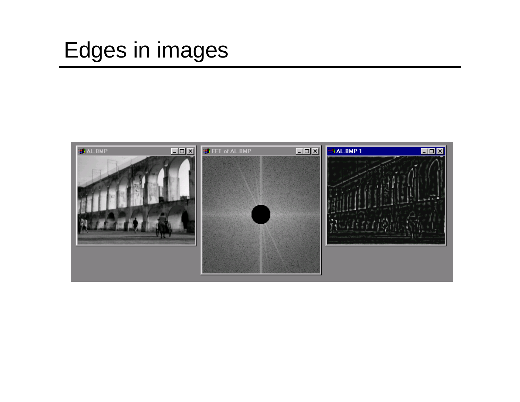# Edges in images

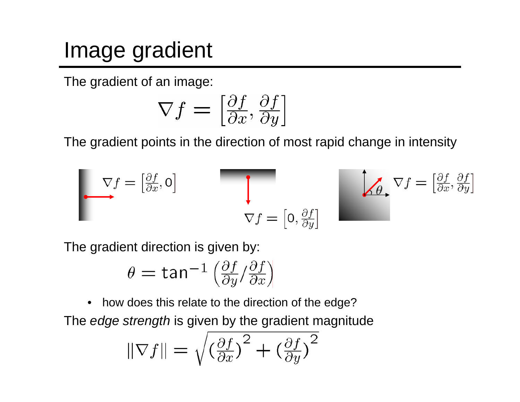# Image gradient

The gradient of an image:

$$
\nabla f = \left[\frac{\partial f}{\partial x}, \frac{\partial f}{\partial y}\right]
$$

The gradient points in the direction of most rapid change in intensity

$$
\nabla f = \begin{bmatrix} \frac{\partial f}{\partial x}, 0 \end{bmatrix}
$$
\n
$$
\nabla f = \begin{bmatrix} 0, \frac{\partial f}{\partial y} \end{bmatrix}
$$
\n
$$
\nabla f = \begin{bmatrix} 0, \frac{\partial f}{\partial y} \end{bmatrix}
$$

The gradient direction is given by:

$$
\theta = \tan^{-1} \left( \frac{\partial f}{\partial y} / \frac{\partial f}{\partial x} \right)
$$

• how does this relate to the direction of the edge? The *edge strength* is given by the gradient magnitude

$$
\|\nabla f\| = \sqrt{\left(\frac{\partial f}{\partial x}\right)^2 + \left(\frac{\partial f}{\partial y}\right)^2}
$$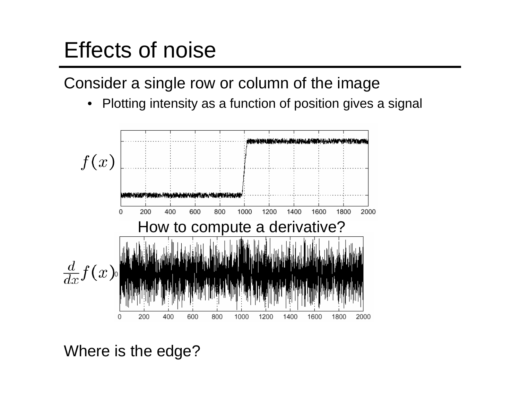# Effects of noise

Consider a single row or column of the image

•Plotting intensity as a function of position gives a signal



Where is the edge?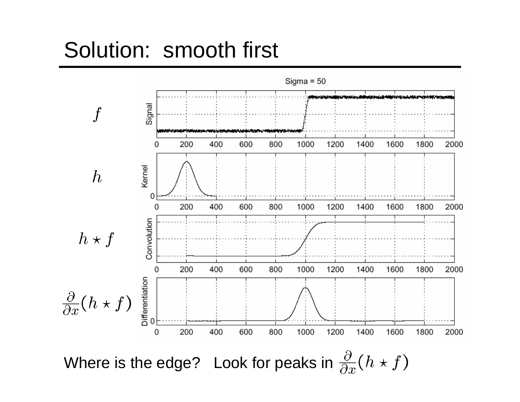## Solution: smooth first

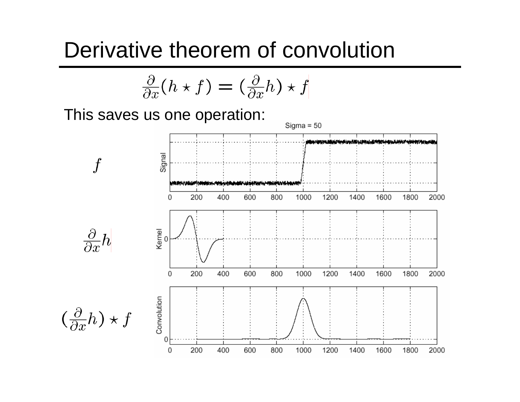### Derivative theorem of convolution

$$
\frac{\partial}{\partial x}(h \star f) = (\frac{\partial}{\partial x}h) \star f
$$

This saves us one operation:

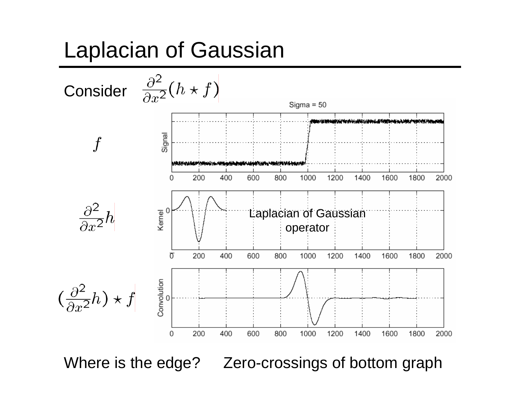# Laplacian of Gaussian



Where is the edge? Zero-crossings of bottom graph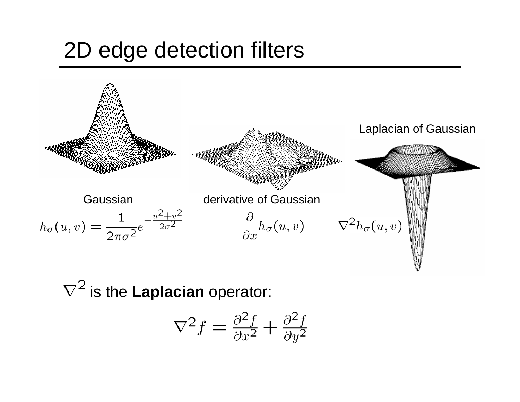# 2D edge detection filters



 $\nabla^2$  is the **Laplacian** operator:

$$
\nabla^2 f = \frac{\partial^2 f}{\partial x^2} + \frac{\partial^2 f}{\partial y^2}
$$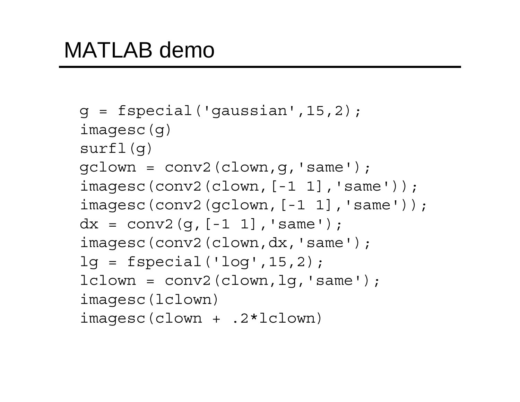```
g = f<sub>special</sub>(q<sub>aussian</sub>, 15, 2);imagesc(g)
surfl(g)
\text{gcdown} = \text{conv2}(\text{clown}, q, \text{'same'});
imagesc(conv2(clown,[-1 1],'same'));
imagesc(conv2(gclown,[-1 1],'same'));
dx = \text{conv2}(q, [-1, 1], 'same');
imagesc(conv2(clown,dx,'same');
lg = f\text{special('log',15,2)};lclown = conv2(clown, lq, 'same');
imagesc(lclown)
imagesc(clown + .2*lclown)
```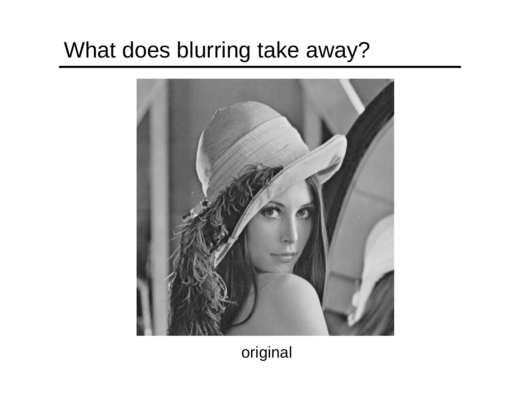# What does blurring take away?



### original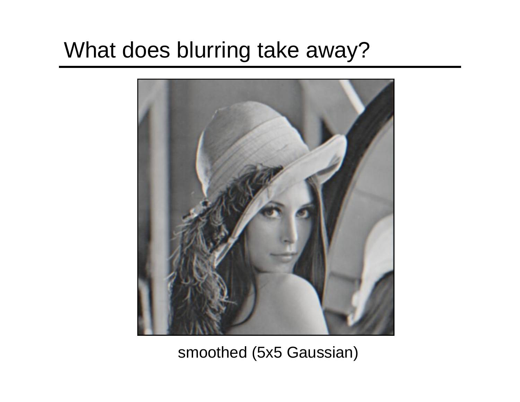# What does blurring take away?



#### smoothed (5x5 Gaussian)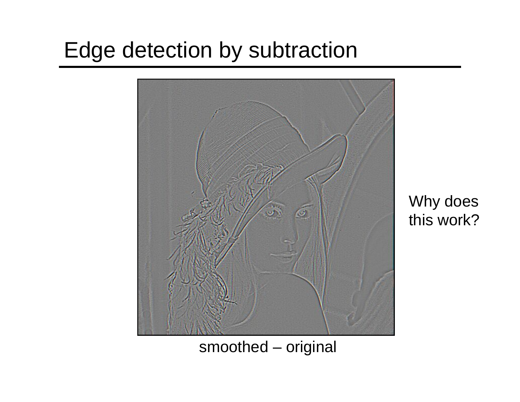# Edge detection by subtraction



Why does this work?

#### smoothed – original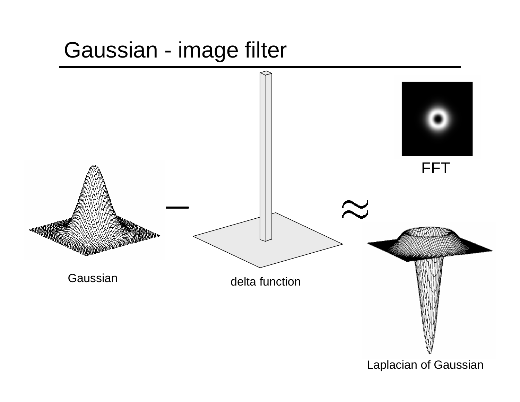# Gaussian - image filter

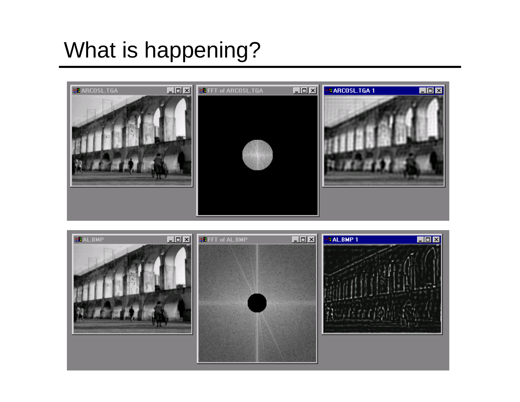# What is happening?